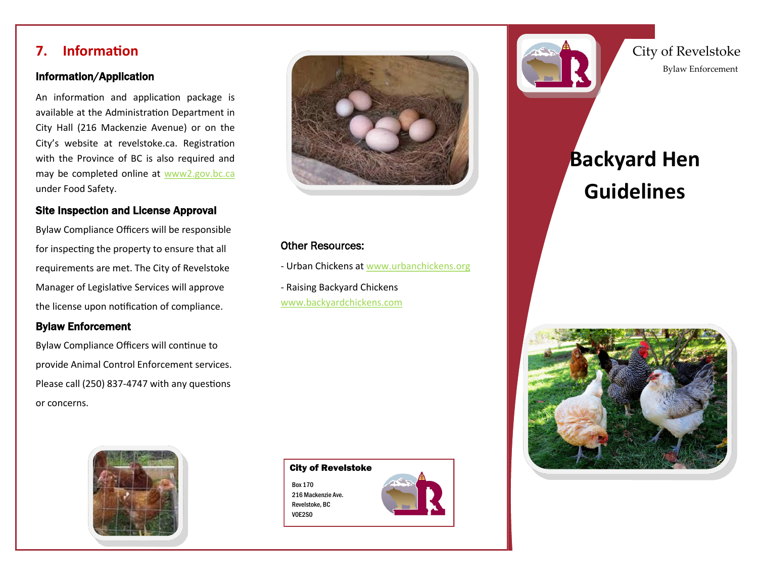#### **7. Information**

#### Information/Application

An information and application package is available at the Administration Department in City Hall (216 Mackenzie Avenue) or on the City's website at revelstoke.ca. Registration with the Province of BC is also required and may be completed online at [www2.gov.bc.ca](http://www2.gov.bc.ca/gov/content/industry/agriculture-seafood/food-safety/premises-id-for-livestock-poultry) under Food Safety[.](http://www2.gov.bc.ca/gov/content/industry/agriculture-seafood/food-safety/premises-id-for-livestock-poultry)

#### Site Inspection and License Approval

Bylaw Compliance Officers will be responsible for inspecting the property to ensure that all requirements are met. The City of Revelstoke Manager of Legislative Services will approve the license upon notification of compliance.

#### Bylaw Enforcement

Bylaw Compliance Officers will continue to provide Animal Control Enforcement services. Please call (250) 837-4747 with any questions or concerns.





#### Other Resources:

- Urban Chickens at [www.urbanchickens.org](http://urbanchickens.org/)

- Raising Backyard Chickens [www.backyardchickens.com](http://www.backyardchickens.com/)





City of Revelstoke Bylaw Enforcement

# **Backyard Hen Guidelines**